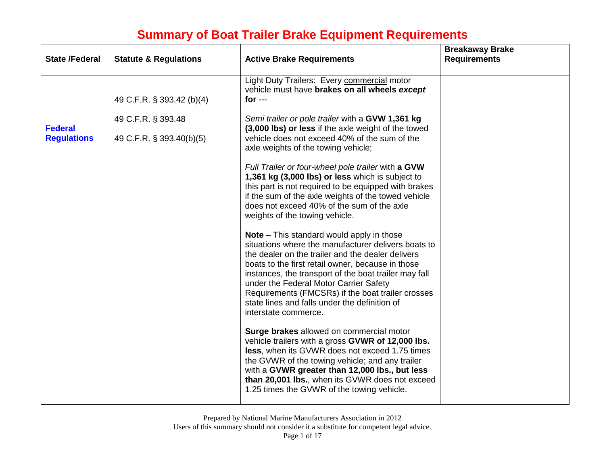| <b>State /Federal</b>                | <b>Statute &amp; Regulations</b>               | <b>Active Brake Requirements</b>                                                                                                                                                                                                                                                                                                                                                                                                                                                                         | <b>Breakaway Brake</b><br><b>Requirements</b> |
|--------------------------------------|------------------------------------------------|----------------------------------------------------------------------------------------------------------------------------------------------------------------------------------------------------------------------------------------------------------------------------------------------------------------------------------------------------------------------------------------------------------------------------------------------------------------------------------------------------------|-----------------------------------------------|
|                                      |                                                |                                                                                                                                                                                                                                                                                                                                                                                                                                                                                                          |                                               |
|                                      | 49 C.F.R. § 393.42 (b)(4)                      | Light Duty Trailers: Every commercial motor<br>vehicle must have brakes on all wheels except<br>for $--$                                                                                                                                                                                                                                                                                                                                                                                                 |                                               |
| <b>Federal</b><br><b>Regulations</b> | 49 C.F.R. § 393.48<br>49 C.F.R. § 393.40(b)(5) | Semi trailer or pole trailer with a GVW 1,361 kg<br>(3,000 lbs) or less if the axle weight of the towed<br>vehicle does not exceed 40% of the sum of the<br>axle weights of the towing vehicle;<br>Full Trailer or four-wheel pole trailer with a GVW<br>1,361 kg (3,000 lbs) or less which is subject to<br>this part is not required to be equipped with brakes<br>if the sum of the axle weights of the towed vehicle<br>does not exceed 40% of the sum of the axle<br>weights of the towing vehicle. |                                               |
|                                      |                                                | <b>Note</b> – This standard would apply in those<br>situations where the manufacturer delivers boats to<br>the dealer on the trailer and the dealer delivers<br>boats to the first retail owner, because in those<br>instances, the transport of the boat trailer may fall<br>under the Federal Motor Carrier Safety<br>Requirements (FMCSRs) if the boat trailer crosses<br>state lines and falls under the definition of<br>interstate commerce.                                                       |                                               |
|                                      |                                                | Surge brakes allowed on commercial motor<br>vehicle trailers with a gross GVWR of 12,000 lbs.<br>less, when its GVWR does not exceed 1.75 times<br>the GVWR of the towing vehicle; and any trailer<br>with a GVWR greater than 12,000 lbs., but less<br>than 20,001 lbs., when its GVWR does not exceed<br>1.25 times the GVWR of the towing vehicle.                                                                                                                                                    |                                               |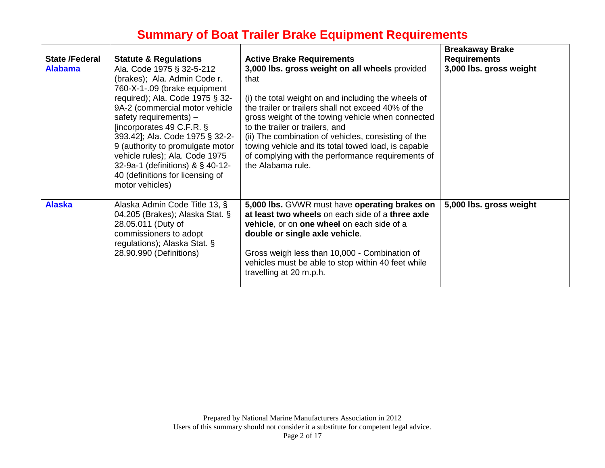| <b>State /Federal</b> | <b>Statute &amp; Regulations</b>                                                                                                                                                                                                                                                                                                                                                                                            | <b>Active Brake Requirements</b>                                                                                                                                                                                                                                                                                                                                                                                                                     | <b>Breakaway Brake</b><br><b>Requirements</b> |
|-----------------------|-----------------------------------------------------------------------------------------------------------------------------------------------------------------------------------------------------------------------------------------------------------------------------------------------------------------------------------------------------------------------------------------------------------------------------|------------------------------------------------------------------------------------------------------------------------------------------------------------------------------------------------------------------------------------------------------------------------------------------------------------------------------------------------------------------------------------------------------------------------------------------------------|-----------------------------------------------|
| <b>Alabama</b>        | Ala. Code 1975 § 32-5-212<br>(brakes); Ala. Admin Code r.<br>760-X-1-.09 (brake equipment<br>required); Ala. Code 1975 § 32-<br>9A-2 (commercial motor vehicle<br>safety requirements) $-$<br>[incorporates 49 C.F.R. §<br>393.42]; Ala. Code 1975 § 32-2-<br>9 (authority to promulgate motor<br>vehicle rules); Ala. Code 1975<br>32-9a-1 (definitions) & § 40-12-<br>40 (definitions for licensing of<br>motor vehicles) | 3,000 lbs. gross weight on all wheels provided<br>that<br>(i) the total weight on and including the wheels of<br>the trailer or trailers shall not exceed 40% of the<br>gross weight of the towing vehicle when connected<br>to the trailer or trailers, and<br>(ii) The combination of vehicles, consisting of the<br>towing vehicle and its total towed load, is capable<br>of complying with the performance requirements of<br>the Alabama rule. | 3,000 lbs. gross weight                       |
| <b>Alaska</b>         | Alaska Admin Code Title 13, §<br>04.205 (Brakes); Alaska Stat. §<br>28.05.011 (Duty of<br>commissioners to adopt<br>regulations); Alaska Stat. §<br>28.90.990 (Definitions)                                                                                                                                                                                                                                                 | 5,000 lbs. GVWR must have operating brakes on<br>at least two wheels on each side of a three axle<br>vehicle, or on one wheel on each side of a<br>double or single axle vehicle.<br>Gross weigh less than 10,000 - Combination of<br>vehicles must be able to stop within 40 feet while<br>travelling at 20 m.p.h.                                                                                                                                  | 5,000 lbs. gross weight                       |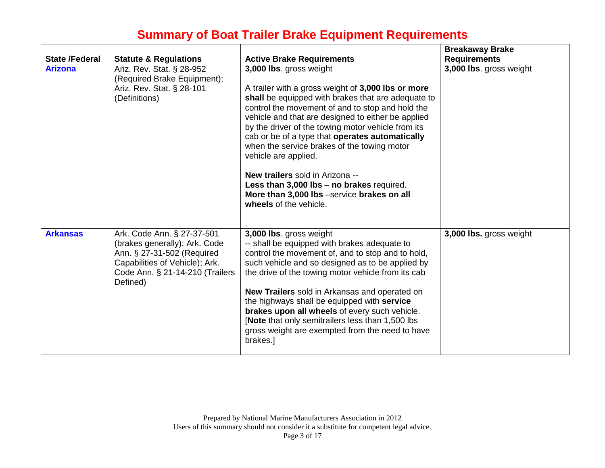|                       |                                                                                                                                                                            |                                                                                                                                                                                                                                                                                                                                                                                                                                                                                                                                                                                       | <b>Breakaway Brake</b>  |
|-----------------------|----------------------------------------------------------------------------------------------------------------------------------------------------------------------------|---------------------------------------------------------------------------------------------------------------------------------------------------------------------------------------------------------------------------------------------------------------------------------------------------------------------------------------------------------------------------------------------------------------------------------------------------------------------------------------------------------------------------------------------------------------------------------------|-------------------------|
| <b>State /Federal</b> | <b>Statute &amp; Regulations</b>                                                                                                                                           | <b>Active Brake Requirements</b>                                                                                                                                                                                                                                                                                                                                                                                                                                                                                                                                                      | <b>Requirements</b>     |
| <b>Arizona</b>        | Ariz. Rev. Stat. § 28-952<br>(Required Brake Equipment);<br>Ariz. Rev. Stat. § 28-101<br>(Definitions)                                                                     | 3,000 lbs. gross weight<br>A trailer with a gross weight of 3,000 lbs or more<br>shall be equipped with brakes that are adequate to<br>control the movement of and to stop and hold the<br>vehicle and that are designed to either be applied<br>by the driver of the towing motor vehicle from its<br>cab or be of a type that operates automatically<br>when the service brakes of the towing motor<br>vehicle are applied.<br>New trailers sold in Arizona --<br>Less than 3,000 lbs - no brakes required.<br>More than 3,000 lbs -service brakes on all<br>wheels of the vehicle. | 3,000 lbs. gross weight |
| <b>Arkansas</b>       | Ark. Code Ann. § 27-37-501<br>(brakes generally); Ark. Code<br>Ann. § 27-31-502 (Required<br>Capabilities of Vehicle); Ark.<br>Code Ann. § 21-14-210 (Trailers<br>Defined) | 3,000 lbs. gross weight<br>-- shall be equipped with brakes adequate to<br>control the movement of, and to stop and to hold,<br>such vehicle and so designed as to be applied by<br>the drive of the towing motor vehicle from its cab<br>New Trailers sold in Arkansas and operated on<br>the highways shall be equipped with service<br>brakes upon all wheels of every such vehicle.<br><b>Note that only semitrailers less than 1,500 lbs</b><br>gross weight are exempted from the need to have<br>brakes.]                                                                      | 3,000 lbs. gross weight |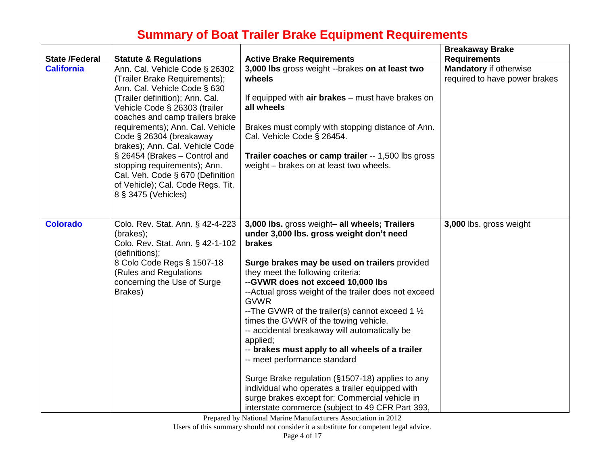| <b>State /Federal</b> | <b>Statute &amp; Regulations</b>                                                                                                                                                                      | <b>Active Brake Requirements</b>                                                                                                                                                                                                                                                                                                                                                                                                                                                                                                                                                                                 | <b>Breakaway Brake</b><br><b>Requirements</b>                  |
|-----------------------|-------------------------------------------------------------------------------------------------------------------------------------------------------------------------------------------------------|------------------------------------------------------------------------------------------------------------------------------------------------------------------------------------------------------------------------------------------------------------------------------------------------------------------------------------------------------------------------------------------------------------------------------------------------------------------------------------------------------------------------------------------------------------------------------------------------------------------|----------------------------------------------------------------|
| <b>California</b>     | Ann. Cal. Vehicle Code § 26302<br>(Trailer Brake Requirements);<br>Ann. Cal. Vehicle Code § 630                                                                                                       | 3,000 lbs gross weight --brakes on at least two<br>wheels                                                                                                                                                                                                                                                                                                                                                                                                                                                                                                                                                        | <b>Mandatory if otherwise</b><br>required to have power brakes |
|                       | (Trailer definition); Ann. Cal.<br>Vehicle Code § 26303 (trailer<br>coaches and camp trailers brake                                                                                                   | If equipped with air brakes - must have brakes on<br>all wheels                                                                                                                                                                                                                                                                                                                                                                                                                                                                                                                                                  |                                                                |
|                       | requirements); Ann. Cal. Vehicle<br>Code § 26304 (breakaway<br>brakes); Ann. Cal. Vehicle Code                                                                                                        | Brakes must comply with stopping distance of Ann.<br>Cal. Vehicle Code § 26454.                                                                                                                                                                                                                                                                                                                                                                                                                                                                                                                                  |                                                                |
|                       | § 26454 (Brakes - Control and<br>stopping requirements); Ann.<br>Cal. Veh. Code § 670 (Definition<br>of Vehicle); Cal. Code Regs. Tit.<br>8 § 3475 (Vehicles)                                         | Trailer coaches or camp trailer -- 1,500 lbs gross<br>weight - brakes on at least two wheels.                                                                                                                                                                                                                                                                                                                                                                                                                                                                                                                    |                                                                |
| <b>Colorado</b>       | Colo. Rev. Stat. Ann. § 42-4-223<br>(brakes);<br>Colo. Rev. Stat. Ann. § 42-1-102<br>(definitions);<br>8 Colo Code Regs § 1507-18<br>(Rules and Regulations<br>concerning the Use of Surge<br>Brakes) | 3,000 lbs. gross weight- all wheels; Trailers<br>under 3,000 lbs. gross weight don't need<br>brakes<br>Surge brakes may be used on trailers provided<br>they meet the following criteria:<br>--GVWR does not exceed 10,000 lbs<br>--Actual gross weight of the trailer does not exceed<br><b>GVWR</b><br>--The GVWR of the trailer(s) cannot exceed 1 $\frac{1}{2}$<br>times the GVWR of the towing vehicle.<br>-- accidental breakaway will automatically be<br>applied;<br>-- brakes must apply to all wheels of a trailer<br>-- meet performance standard<br>Surge Brake regulation (§1507-18) applies to any | 3,000 lbs. gross weight                                        |
|                       |                                                                                                                                                                                                       | individual who operates a trailer equipped with<br>surge brakes except for: Commercial vehicle in<br>interstate commerce (subject to 49 CFR Part 393,                                                                                                                                                                                                                                                                                                                                                                                                                                                            |                                                                |

Prepared by National Marine Manufacturers Association in 2012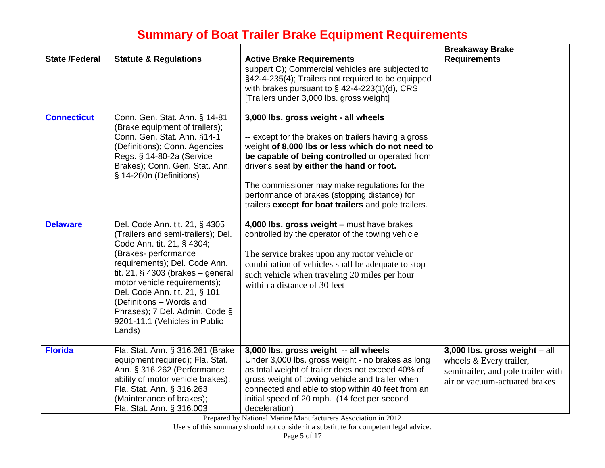| <b>State /Federal</b> | <b>Statute &amp; Regulations</b>                                                                                                                                                                                                                                                                                                                                              | <b>Active Brake Requirements</b>                                                                                                                                                                                                                                                                                                                                                                          | <b>Breakaway Brake</b><br><b>Requirements</b>                                                                                     |
|-----------------------|-------------------------------------------------------------------------------------------------------------------------------------------------------------------------------------------------------------------------------------------------------------------------------------------------------------------------------------------------------------------------------|-----------------------------------------------------------------------------------------------------------------------------------------------------------------------------------------------------------------------------------------------------------------------------------------------------------------------------------------------------------------------------------------------------------|-----------------------------------------------------------------------------------------------------------------------------------|
|                       |                                                                                                                                                                                                                                                                                                                                                                               | subpart C); Commercial vehicles are subjected to<br>§42-4-235(4); Trailers not required to be equipped<br>with brakes pursuant to $\S$ 42-4-223(1)(d), CRS<br>[Trailers under 3,000 lbs. gross weight]                                                                                                                                                                                                    |                                                                                                                                   |
| <b>Connecticut</b>    | Conn. Gen. Stat. Ann. § 14-81<br>(Brake equipment of trailers);<br>Conn. Gen. Stat. Ann. §14-1<br>(Definitions); Conn. Agencies<br>Regs. § 14-80-2a (Service<br>Brakes); Conn. Gen. Stat. Ann.<br>§ 14-260n (Definitions)                                                                                                                                                     | 3,000 lbs. gross weight - all wheels<br>-- except for the brakes on trailers having a gross<br>weight of 8,000 lbs or less which do not need to<br>be capable of being controlled or operated from<br>driver's seat by either the hand or foot.<br>The commissioner may make regulations for the<br>performance of brakes (stopping distance) for<br>trailers except for boat trailers and pole trailers. |                                                                                                                                   |
| <b>Delaware</b>       | Del. Code Ann. tit. 21, § 4305<br>(Trailers and semi-trailers); Del.<br>Code Ann. tit. 21, § 4304;<br>(Brakes- performance<br>requirements); Del. Code Ann.<br>tit. 21, $\S$ 4303 (brakes – general<br>motor vehicle requirements);<br>Del. Code Ann. tit. 21, § 101<br>(Definitions - Words and<br>Phrases); 7 Del. Admin. Code §<br>9201-11.1 (Vehicles in Public<br>Lands) | 4,000 lbs. gross weight - must have brakes<br>controlled by the operator of the towing vehicle<br>The service brakes upon any motor vehicle or<br>combination of vehicles shall be adequate to stop<br>such vehicle when traveling 20 miles per hour<br>within a distance of 30 feet                                                                                                                      |                                                                                                                                   |
| <b>Florida</b>        | Fla. Stat. Ann. § 316.261 (Brake<br>equipment required); Fla. Stat.<br>Ann. § 316.262 (Performance<br>ability of motor vehicle brakes);<br>Fla. Stat. Ann. § 316.263<br>(Maintenance of brakes);<br>Fla. Stat. Ann. § 316.003                                                                                                                                                 | 3,000 lbs. gross weight -- all wheels<br>Under 3,000 lbs. gross weight - no brakes as long<br>as total weight of trailer does not exceed 40% of<br>gross weight of towing vehicle and trailer when<br>connected and able to stop within 40 feet from an<br>initial speed of 20 mph. (14 feet per second<br>deceleration)                                                                                  | 3,000 lbs. gross weight $-$ all<br>wheels & Every trailer,<br>semitrailer, and pole trailer with<br>air or vacuum-actuated brakes |

Prepared by National Marine Manufacturers Association in 2012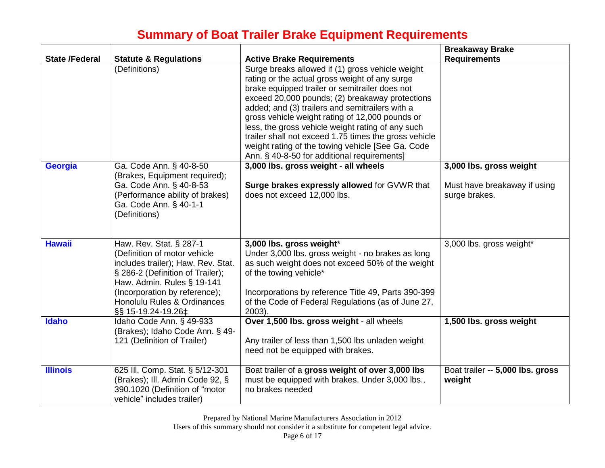| <b>State /Federal</b> | <b>Statute &amp; Regulations</b>                                                                                                                                                                                                                      | <b>Active Brake Requirements</b>                                                                                                                                                                                                                                                                                                                                                                                                                                                                                                | <b>Breakaway Brake</b><br><b>Requirements</b>                            |
|-----------------------|-------------------------------------------------------------------------------------------------------------------------------------------------------------------------------------------------------------------------------------------------------|---------------------------------------------------------------------------------------------------------------------------------------------------------------------------------------------------------------------------------------------------------------------------------------------------------------------------------------------------------------------------------------------------------------------------------------------------------------------------------------------------------------------------------|--------------------------------------------------------------------------|
|                       | (Definitions)                                                                                                                                                                                                                                         | Surge breaks allowed if (1) gross vehicle weight<br>rating or the actual gross weight of any surge<br>brake equipped trailer or semitrailer does not<br>exceed 20,000 pounds; (2) breakaway protections<br>added; and (3) trailers and semitrailers with a<br>gross vehicle weight rating of 12,000 pounds or<br>less, the gross vehicle weight rating of any such<br>trailer shall not exceed 1.75 times the gross vehicle<br>weight rating of the towing vehicle [See Ga. Code<br>Ann. § 40-8-50 for additional requirements] |                                                                          |
| <b>Georgia</b>        | Ga. Code Ann. § 40-8-50<br>(Brakes, Equipment required);<br>Ga. Code Ann. § 40-8-53<br>(Performance ability of brakes)<br>Ga. Code Ann. § 40-1-1<br>(Definitions)                                                                                     | 3,000 lbs. gross weight - all wheels<br>Surge brakes expressly allowed for GVWR that<br>does not exceed 12,000 lbs.                                                                                                                                                                                                                                                                                                                                                                                                             | 3,000 lbs. gross weight<br>Must have breakaway if using<br>surge brakes. |
| <b>Hawaii</b>         | Haw. Rev. Stat. § 287-1<br>(Definition of motor vehicle<br>includes trailer); Haw. Rev. Stat.<br>§ 286-2 (Definition of Trailer);<br>Haw. Admin. Rules § 19-141<br>(Incorporation by reference);<br>Honolulu Rules & Ordinances<br>§§ 15-19.24-19.26‡ | 3,000 lbs. gross weight*<br>Under 3,000 lbs. gross weight - no brakes as long<br>as such weight does not exceed 50% of the weight<br>of the towing vehicle*<br>Incorporations by reference Title 49, Parts 390-399<br>of the Code of Federal Regulations (as of June 27,<br>2003).                                                                                                                                                                                                                                              | 3,000 lbs. gross weight*                                                 |
| Idaho                 | Idaho Code Ann. § 49-933<br>(Brakes); Idaho Code Ann. § 49-<br>121 (Definition of Trailer)                                                                                                                                                            | Over 1,500 lbs. gross weight - all wheels<br>Any trailer of less than 1,500 lbs unladen weight<br>need not be equipped with brakes.                                                                                                                                                                                                                                                                                                                                                                                             | 1,500 lbs. gross weight                                                  |
| <b>Illinois</b>       | 625 III. Comp. Stat. § 5/12-301<br>(Brakes); Ill. Admin Code 92, §<br>390.1020 (Definition of "motor<br>vehicle" includes trailer)                                                                                                                    | Boat trailer of a gross weight of over 3,000 lbs<br>must be equipped with brakes. Under 3,000 lbs.,<br>no brakes needed                                                                                                                                                                                                                                                                                                                                                                                                         | Boat trailer -- 5,000 lbs. gross<br>weight                               |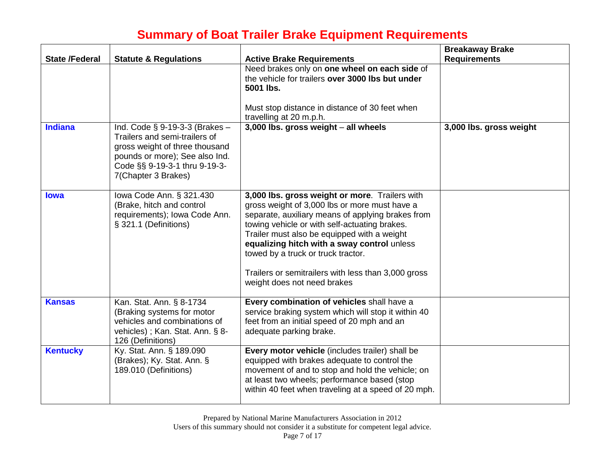| <b>State /Federal</b> | <b>Statute &amp; Regulations</b>                                                                                                                                                               | <b>Active Brake Requirements</b>                                                                                                                                                                                                                                                                                                                                                                                                | <b>Breakaway Brake</b><br><b>Requirements</b> |
|-----------------------|------------------------------------------------------------------------------------------------------------------------------------------------------------------------------------------------|---------------------------------------------------------------------------------------------------------------------------------------------------------------------------------------------------------------------------------------------------------------------------------------------------------------------------------------------------------------------------------------------------------------------------------|-----------------------------------------------|
|                       |                                                                                                                                                                                                | Need brakes only on one wheel on each side of<br>the vehicle for trailers over 3000 lbs but under<br>5001 lbs.                                                                                                                                                                                                                                                                                                                  |                                               |
|                       |                                                                                                                                                                                                | Must stop distance in distance of 30 feet when<br>travelling at 20 m.p.h.                                                                                                                                                                                                                                                                                                                                                       |                                               |
| <b>Indiana</b>        | Ind. Code $\S$ 9-19-3-3 (Brakes -<br>Trailers and semi-trailers of<br>gross weight of three thousand<br>pounds or more); See also Ind.<br>Code §§ 9-19-3-1 thru 9-19-3-<br>7(Chapter 3 Brakes) | 3,000 lbs. gross weight - all wheels                                                                                                                                                                                                                                                                                                                                                                                            | 3,000 lbs. gross weight                       |
| <b>lowa</b>           | lowa Code Ann. § 321.430<br>(Brake, hitch and control<br>requirements); Iowa Code Ann.<br>§ 321.1 (Definitions)                                                                                | 3,000 lbs. gross weight or more. Trailers with<br>gross weight of 3,000 lbs or more must have a<br>separate, auxiliary means of applying brakes from<br>towing vehicle or with self-actuating brakes.<br>Trailer must also be equipped with a weight<br>equalizing hitch with a sway control unless<br>towed by a truck or truck tractor.<br>Trailers or semitrailers with less than 3,000 gross<br>weight does not need brakes |                                               |
| <b>Kansas</b>         | Kan. Stat. Ann. § 8-1734<br>(Braking systems for motor<br>vehicles and combinations of<br>vehicles); Kan. Stat. Ann. § 8-<br>126 (Definitions)                                                 | Every combination of vehicles shall have a<br>service braking system which will stop it within 40<br>feet from an initial speed of 20 mph and an<br>adequate parking brake.                                                                                                                                                                                                                                                     |                                               |
| <b>Kentucky</b>       | Ky. Stat. Ann. § 189.090<br>(Brakes); Ky. Stat. Ann. §<br>189.010 (Definitions)                                                                                                                | Every motor vehicle (includes trailer) shall be<br>equipped with brakes adequate to control the<br>movement of and to stop and hold the vehicle; on<br>at least two wheels; performance based (stop<br>within 40 feet when traveling at a speed of 20 mph.                                                                                                                                                                      |                                               |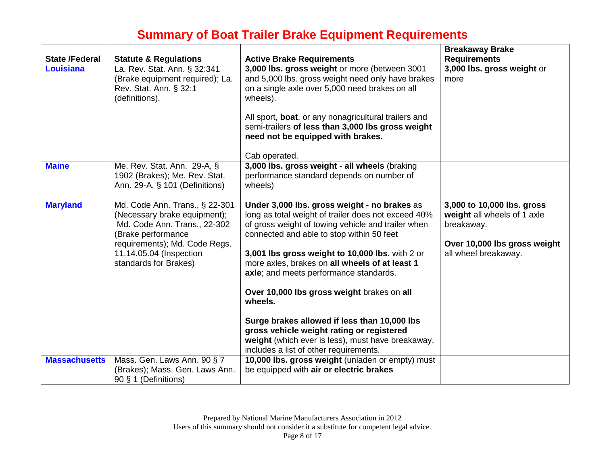| <b>State /Federal</b> | <b>Statute &amp; Regulations</b>                                                                                                                                                                          | <b>Active Brake Requirements</b>                                                                                                                                                                                                                                                                                                                                                                                                                                                                                                                                                                           | <b>Breakaway Brake</b><br><b>Requirements</b>                                                                                   |
|-----------------------|-----------------------------------------------------------------------------------------------------------------------------------------------------------------------------------------------------------|------------------------------------------------------------------------------------------------------------------------------------------------------------------------------------------------------------------------------------------------------------------------------------------------------------------------------------------------------------------------------------------------------------------------------------------------------------------------------------------------------------------------------------------------------------------------------------------------------------|---------------------------------------------------------------------------------------------------------------------------------|
| Louisiana             | La. Rev. Stat. Ann. § 32:341<br>(Brake equipment required); La.<br>Rev. Stat. Ann. § 32:1<br>(definitions).                                                                                               | 3,000 lbs. gross weight or more (between 3001<br>and 5,000 lbs. gross weight need only have brakes<br>on a single axle over 5,000 need brakes on all<br>wheels).<br>All sport, boat, or any nonagricultural trailers and<br>semi-trailers of less than 3,000 lbs gross weight<br>need not be equipped with brakes.<br>Cab operated.                                                                                                                                                                                                                                                                        | 3,000 lbs. gross weight or<br>more                                                                                              |
| <b>Maine</b>          | Me. Rev. Stat. Ann. 29-A, §<br>1902 (Brakes); Me. Rev. Stat.<br>Ann. 29-A, § 101 (Definitions)                                                                                                            | 3,000 lbs. gross weight - all wheels (braking<br>performance standard depends on number of<br>wheels)                                                                                                                                                                                                                                                                                                                                                                                                                                                                                                      |                                                                                                                                 |
| <b>Maryland</b>       | Md. Code Ann. Trans., § 22-301<br>(Necessary brake equipment);<br>Md. Code Ann. Trans., 22-302<br>(Brake performance<br>requirements); Md. Code Regs.<br>11.14.05.04 (Inspection<br>standards for Brakes) | Under 3,000 lbs. gross weight - no brakes as<br>long as total weight of trailer does not exceed 40%<br>of gross weight of towing vehicle and trailer when<br>connected and able to stop within 50 feet<br>3,001 lbs gross weight to 10,000 lbs. with 2 or<br>more axles, brakes on all wheels of at least 1<br>axle; and meets performance standards.<br>Over 10,000 lbs gross weight brakes on all<br>wheels.<br>Surge brakes allowed if less than 10,000 lbs<br>gross vehicle weight rating or registered<br>weight (which ever is less), must have breakaway,<br>includes a list of other requirements. | 3,000 to 10,000 lbs. gross<br>weight all wheels of 1 axle<br>breakaway.<br>Over 10,000 lbs gross weight<br>all wheel breakaway. |
| <b>Massachusetts</b>  | Mass. Gen. Laws Ann. 90 § 7<br>(Brakes); Mass. Gen. Laws Ann.<br>90 § 1 (Definitions)                                                                                                                     | 10,000 lbs. gross weight (unladen or empty) must<br>be equipped with air or electric brakes                                                                                                                                                                                                                                                                                                                                                                                                                                                                                                                |                                                                                                                                 |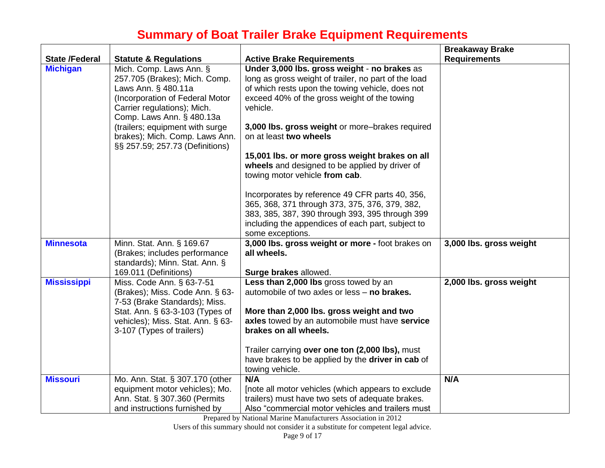| <b>State /Federal</b> | <b>Statute &amp; Regulations</b>                                                                                                                                                                                                                                                       | <b>Active Brake Requirements</b>                                                                                                                                                                                                                                                                                                                                                                                                                                                                                                                                                                                                                     | <b>Breakaway Brake</b><br><b>Requirements</b> |
|-----------------------|----------------------------------------------------------------------------------------------------------------------------------------------------------------------------------------------------------------------------------------------------------------------------------------|------------------------------------------------------------------------------------------------------------------------------------------------------------------------------------------------------------------------------------------------------------------------------------------------------------------------------------------------------------------------------------------------------------------------------------------------------------------------------------------------------------------------------------------------------------------------------------------------------------------------------------------------------|-----------------------------------------------|
| <b>Michigan</b>       | Mich. Comp. Laws Ann. §<br>257.705 (Brakes); Mich. Comp.<br>Laws Ann. § 480.11a<br>(Incorporation of Federal Motor<br>Carrier regulations); Mich.<br>Comp. Laws Ann. § 480.13a<br>(trailers; equipment with surge<br>brakes); Mich. Comp. Laws Ann.<br>§§ 257.59; 257.73 (Definitions) | Under 3,000 lbs. gross weight - no brakes as<br>long as gross weight of trailer, no part of the load<br>of which rests upon the towing vehicle, does not<br>exceed 40% of the gross weight of the towing<br>vehicle.<br>3,000 lbs. gross weight or more-brakes required<br>on at least two wheels<br>15,001 lbs. or more gross weight brakes on all<br>wheels and designed to be applied by driver of<br>towing motor vehicle from cab.<br>Incorporates by reference 49 CFR parts 40, 356,<br>365, 368, 371 through 373, 375, 376, 379, 382,<br>383, 385, 387, 390 through 393, 395 through 399<br>including the appendices of each part, subject to |                                               |
|                       |                                                                                                                                                                                                                                                                                        | some exceptions.                                                                                                                                                                                                                                                                                                                                                                                                                                                                                                                                                                                                                                     |                                               |
| <b>Minnesota</b>      | Minn. Stat. Ann. § 169.67<br>(Brakes; includes performance<br>standards); Minn. Stat. Ann. §                                                                                                                                                                                           | 3,000 lbs. gross weight or more - foot brakes on<br>all wheels.                                                                                                                                                                                                                                                                                                                                                                                                                                                                                                                                                                                      | 3,000 lbs. gross weight                       |
|                       | 169.011 (Definitions)                                                                                                                                                                                                                                                                  | Surge brakes allowed.                                                                                                                                                                                                                                                                                                                                                                                                                                                                                                                                                                                                                                |                                               |
| <b>Mississippi</b>    | Miss. Code Ann. § 63-7-51<br>(Brakes); Miss. Code Ann. § 63-<br>7-53 (Brake Standards); Miss.<br>Stat. Ann. § 63-3-103 (Types of<br>vehicles); Miss. Stat. Ann. § 63-<br>3-107 (Types of trailers)                                                                                     | Less than 2,000 lbs gross towed by an<br>automobile of two axles or less - no brakes.<br>More than 2,000 lbs. gross weight and two<br>axles towed by an automobile must have service<br>brakes on all wheels.                                                                                                                                                                                                                                                                                                                                                                                                                                        | 2,000 lbs. gross weight                       |
|                       |                                                                                                                                                                                                                                                                                        | Trailer carrying over one ton (2,000 lbs), must<br>have brakes to be applied by the driver in cab of<br>towing vehicle.                                                                                                                                                                                                                                                                                                                                                                                                                                                                                                                              |                                               |
| <b>Missouri</b>       | Mo. Ann. Stat. § 307.170 (other<br>equipment motor vehicles); Mo.<br>Ann. Stat. § 307.360 (Permits<br>and instructions furnished by                                                                                                                                                    | N/A<br>[note all motor vehicles (which appears to exclude<br>trailers) must have two sets of adequate brakes.<br>Also "commercial motor vehicles and trailers must                                                                                                                                                                                                                                                                                                                                                                                                                                                                                   | N/A                                           |

Prepared by National Marine Manufacturers Association in 2012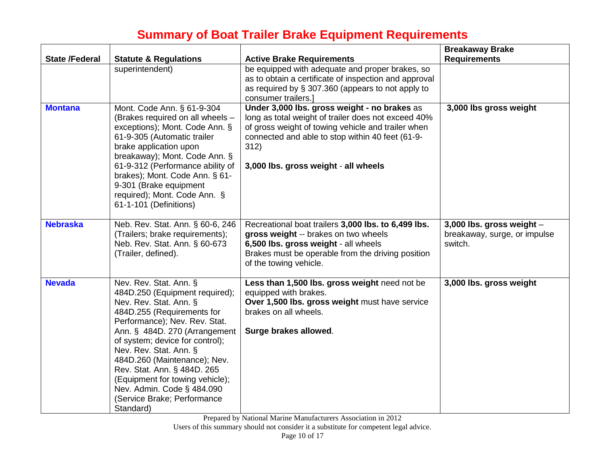| <b>State /Federal</b> | <b>Statute &amp; Regulations</b>                                                                                                                                                                                                                                                                                                                                                                                            | <b>Active Brake Requirements</b>                                                                                                                                                                                                                              | <b>Breakaway Brake</b><br><b>Requirements</b>                          |
|-----------------------|-----------------------------------------------------------------------------------------------------------------------------------------------------------------------------------------------------------------------------------------------------------------------------------------------------------------------------------------------------------------------------------------------------------------------------|---------------------------------------------------------------------------------------------------------------------------------------------------------------------------------------------------------------------------------------------------------------|------------------------------------------------------------------------|
|                       | superintendent)                                                                                                                                                                                                                                                                                                                                                                                                             | be equipped with adequate and proper brakes, so<br>as to obtain a certificate of inspection and approval<br>as required by § 307.360 (appears to not apply to<br>consumer trailers.]                                                                          |                                                                        |
| <b>Montana</b>        | Mont. Code Ann. § 61-9-304<br>(Brakes required on all wheels -<br>exceptions); Mont. Code Ann. §<br>61-9-305 (Automatic trailer<br>brake application upon<br>breakaway); Mont. Code Ann. §<br>61-9-312 (Performance ability of<br>brakes); Mont. Code Ann. § 61-<br>9-301 (Brake equipment<br>required); Mont. Code Ann. §<br>61-1-101 (Definitions)                                                                        | Under 3,000 lbs. gross weight - no brakes as<br>long as total weight of trailer does not exceed 40%<br>of gross weight of towing vehicle and trailer when<br>connected and able to stop within 40 feet (61-9-<br>312)<br>3,000 lbs. gross weight - all wheels | 3,000 lbs gross weight                                                 |
| <b>Nebraska</b>       | Neb. Rev. Stat. Ann. § 60-6, 246<br>(Trailers; brake requirements);<br>Neb. Rev. Stat. Ann. § 60-673<br>(Trailer, defined).                                                                                                                                                                                                                                                                                                 | Recreational boat trailers 3,000 lbs. to 6,499 lbs.<br>gross weight -- brakes on two wheels<br>6,500 lbs. gross weight - all wheels<br>Brakes must be operable from the driving position<br>of the towing vehicle.                                            | 3,000 lbs. gross weight $-$<br>breakaway, surge, or impulse<br>switch. |
| <b>Nevada</b>         | Nev. Rev. Stat. Ann. §<br>484D.250 (Equipment required);<br>Nev. Rev. Stat. Ann. §<br>484D.255 (Requirements for<br>Performance); Nev. Rev. Stat.<br>Ann. § 484D. 270 (Arrangement<br>of system; device for control);<br>Nev. Rev. Stat. Ann. §<br>484D.260 (Maintenance); Nev.<br>Rev. Stat. Ann. § 484D. 265<br>(Equipment for towing vehicle);<br>Nev. Admin. Code § 484.090<br>(Service Brake; Performance<br>Standard) | Less than 1,500 lbs. gross weight need not be<br>equipped with brakes.<br>Over 1,500 lbs. gross weight must have service<br>brakes on all wheels.<br>Surge brakes allowed.                                                                                    | 3,000 lbs. gross weight                                                |

Prepared by National Marine Manufacturers Association in 2012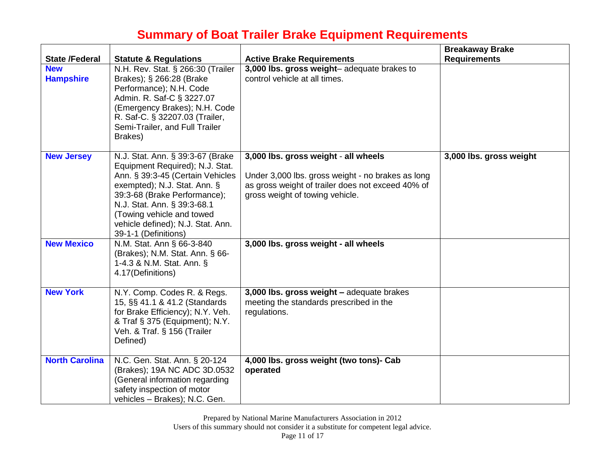|                                |                                                                                                                                                                                                                                                                                                  |                                                                                                                                                                                   | <b>Breakaway Brake</b>  |
|--------------------------------|--------------------------------------------------------------------------------------------------------------------------------------------------------------------------------------------------------------------------------------------------------------------------------------------------|-----------------------------------------------------------------------------------------------------------------------------------------------------------------------------------|-------------------------|
| <b>State /Federal</b>          | <b>Statute &amp; Regulations</b>                                                                                                                                                                                                                                                                 | <b>Active Brake Requirements</b>                                                                                                                                                  | <b>Requirements</b>     |
| <b>New</b><br><b>Hampshire</b> | N.H. Rev. Stat. § 266:30 (Trailer<br>Brakes); § 266:28 (Brake<br>Performance); N.H. Code<br>Admin. R. Saf-C § 3227.07<br>(Emergency Brakes); N.H. Code<br>R. Saf-C. § 32207.03 (Trailer,<br>Semi-Trailer, and Full Trailer<br>Brakes)                                                            | 3,000 lbs. gross weight-adequate brakes to<br>control vehicle at all times.                                                                                                       |                         |
| <b>New Jersey</b>              | N.J. Stat. Ann. § 39:3-67 (Brake<br>Equipment Required); N.J. Stat.<br>Ann. § 39:3-45 (Certain Vehicles<br>exempted); N.J. Stat. Ann. §<br>39:3-68 (Brake Performance);<br>N.J. Stat. Ann. § 39:3-68.1<br>(Towing vehicle and towed<br>vehicle defined); N.J. Stat. Ann.<br>39-1-1 (Definitions) | 3,000 lbs. gross weight - all wheels<br>Under 3,000 lbs. gross weight - no brakes as long<br>as gross weight of trailer does not exceed 40% of<br>gross weight of towing vehicle. | 3,000 lbs. gross weight |
| <b>New Mexico</b>              | N.M. Stat. Ann § 66-3-840<br>(Brakes); N.M. Stat. Ann. § 66-<br>1-4.3 & N.M. Stat. Ann. §<br>4.17(Definitions)                                                                                                                                                                                   | 3,000 lbs. gross weight - all wheels                                                                                                                                              |                         |
| <b>New York</b>                | N.Y. Comp. Codes R. & Regs.<br>15, §§ 41.1 & 41.2 (Standards<br>for Brake Efficiency); N.Y. Veh.<br>& Traf § 375 (Equipment); N.Y.<br>Veh. & Traf. § 156 (Trailer<br>Defined)                                                                                                                    | 3,000 lbs. gross weight - adequate brakes<br>meeting the standards prescribed in the<br>regulations.                                                                              |                         |
| <b>North Carolina</b>          | N.C. Gen. Stat. Ann. § 20-124<br>(Brakes); 19A NC ADC 3D.0532<br>(General information regarding<br>safety inspection of motor<br>vehicles - Brakes); N.C. Gen.                                                                                                                                   | 4,000 lbs. gross weight (two tons)- Cab<br>operated                                                                                                                               |                         |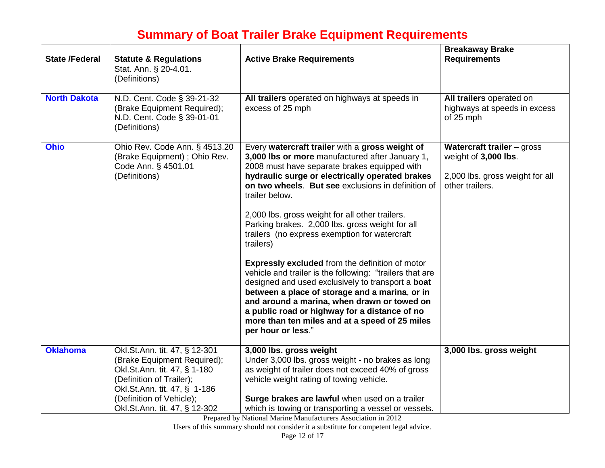| <b>State /Federal</b> | <b>Statute &amp; Regulations</b>                                                                                                                                                     | <b>Active Brake Requirements</b>                                                                                                                                                                                                                                                                                                                                                                                                                                                                                                                                                                                                                                                                                                                                                                                                                       | <b>Breakaway Brake</b><br><b>Requirements</b>                                                            |
|-----------------------|--------------------------------------------------------------------------------------------------------------------------------------------------------------------------------------|--------------------------------------------------------------------------------------------------------------------------------------------------------------------------------------------------------------------------------------------------------------------------------------------------------------------------------------------------------------------------------------------------------------------------------------------------------------------------------------------------------------------------------------------------------------------------------------------------------------------------------------------------------------------------------------------------------------------------------------------------------------------------------------------------------------------------------------------------------|----------------------------------------------------------------------------------------------------------|
|                       | Stat. Ann. § 20-4.01.<br>(Definitions)                                                                                                                                               |                                                                                                                                                                                                                                                                                                                                                                                                                                                                                                                                                                                                                                                                                                                                                                                                                                                        |                                                                                                          |
| <b>North Dakota</b>   | N.D. Cent. Code § 39-21-32<br>(Brake Equipment Required);<br>N.D. Cent. Code § 39-01-01<br>(Definitions)                                                                             | All trailers operated on highways at speeds in<br>excess of 25 mph                                                                                                                                                                                                                                                                                                                                                                                                                                                                                                                                                                                                                                                                                                                                                                                     | All trailers operated on<br>highways at speeds in excess<br>of 25 mph                                    |
| <b>Ohio</b>           | Ohio Rev. Code Ann. § 4513.20<br>(Brake Equipment); Ohio Rev.<br>Code Ann. § 4501.01<br>(Definitions)                                                                                | Every watercraft trailer with a gross weight of<br>3,000 lbs or more manufactured after January 1,<br>2008 must have separate brakes equipped with<br>hydraulic surge or electrically operated brakes<br>on two wheels. But see exclusions in definition of<br>trailer below.<br>2,000 lbs. gross weight for all other trailers.<br>Parking brakes. 2,000 lbs. gross weight for all<br>trailers (no express exemption for watercraft<br>trailers)<br><b>Expressly excluded from the definition of motor</b><br>vehicle and trailer is the following: "trailers that are<br>designed and used exclusively to transport a boat<br>between a place of storage and a marina, or in<br>and around a marina, when drawn or towed on<br>a public road or highway for a distance of no<br>more than ten miles and at a speed of 25 miles<br>per hour or less." | Watercraft trailer - gross<br>weight of 3,000 lbs.<br>2,000 lbs. gross weight for all<br>other trailers. |
| <b>Oklahoma</b>       | Okl.St.Ann. tit. 47, § 12-301<br>(Brake Equipment Required);<br>Okl.St.Ann. tit. 47, § 1-180<br>(Definition of Trailer);<br>Okl.St.Ann. tit. 47, § 1-186<br>(Definition of Vehicle); | 3,000 lbs. gross weight<br>Under 3,000 lbs. gross weight - no brakes as long<br>as weight of trailer does not exceed 40% of gross<br>vehicle weight rating of towing vehicle.<br>Surge brakes are lawful when used on a trailer                                                                                                                                                                                                                                                                                                                                                                                                                                                                                                                                                                                                                        | 3,000 lbs. gross weight                                                                                  |
|                       | Okl.St.Ann. tit. 47, § 12-302                                                                                                                                                        | which is towing or transporting a vessel or vessels.                                                                                                                                                                                                                                                                                                                                                                                                                                                                                                                                                                                                                                                                                                                                                                                                   |                                                                                                          |

Prepared by National Marine Manufacturers Association in 2012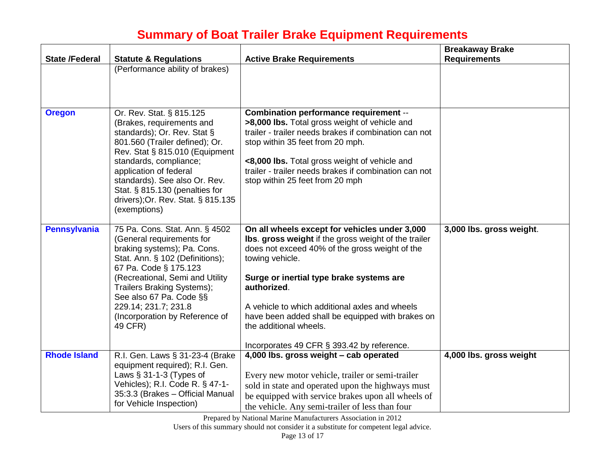| <b>State /Federal</b> | <b>Statute &amp; Regulations</b>                                                                                                                                                                                                                                                                                                      | <b>Active Brake Requirements</b>                                                                                                                                                                                                                                                                                                                                                                                    | <b>Breakaway Brake</b><br><b>Requirements</b> |
|-----------------------|---------------------------------------------------------------------------------------------------------------------------------------------------------------------------------------------------------------------------------------------------------------------------------------------------------------------------------------|---------------------------------------------------------------------------------------------------------------------------------------------------------------------------------------------------------------------------------------------------------------------------------------------------------------------------------------------------------------------------------------------------------------------|-----------------------------------------------|
|                       | (Performance ability of brakes)                                                                                                                                                                                                                                                                                                       |                                                                                                                                                                                                                                                                                                                                                                                                                     |                                               |
| <b>Oregon</b>         | Or. Rev. Stat. § 815.125<br>(Brakes, requirements and<br>standards); Or. Rev. Stat §<br>801.560 (Trailer defined); Or.<br>Rev. Stat § 815.010 (Equipment<br>standards, compliance;<br>application of federal<br>standards). See also Or. Rev.<br>Stat. § 815.130 (penalties for<br>drivers); Or. Rev. Stat. § 815.135<br>(exemptions) | Combination performance requirement --<br>>8,000 lbs. Total gross weight of vehicle and<br>trailer - trailer needs brakes if combination can not<br>stop within 35 feet from 20 mph.<br><8,000 lbs. Total gross weight of vehicle and<br>trailer - trailer needs brakes if combination can not<br>stop within 25 feet from 20 mph                                                                                   |                                               |
| <b>Pennsylvania</b>   | 75 Pa. Cons. Stat. Ann. § 4502<br>(General requirements for<br>braking systems); Pa. Cons.<br>Stat. Ann. § 102 (Definitions);<br>67 Pa. Code § 175.123<br>(Recreational, Semi and Utility<br>Trailers Braking Systems);<br>See also 67 Pa. Code §§<br>229.14; 231.7; 231.8<br>(Incorporation by Reference of<br>49 CFR)               | On all wheels except for vehicles under 3,000<br>Ibs. gross weight if the gross weight of the trailer<br>does not exceed 40% of the gross weight of the<br>towing vehicle.<br>Surge or inertial type brake systems are<br>authorized.<br>A vehicle to which additional axles and wheels<br>have been added shall be equipped with brakes on<br>the additional wheels.<br>Incorporates 49 CFR § 393.42 by reference. | 3,000 lbs. gross weight.                      |
| <b>Rhode Island</b>   | R.I. Gen. Laws § 31-23-4 (Brake<br>equipment required); R.I. Gen.<br>Laws $§$ 31-1-3 (Types of<br>Vehicles); R.I. Code R. § 47-1-<br>35:3.3 (Brakes - Official Manual<br>for Vehicle Inspection)                                                                                                                                      | 4,000 lbs. gross weight - cab operated<br>Every new motor vehicle, trailer or semi-trailer<br>sold in state and operated upon the highways must<br>be equipped with service brakes upon all wheels of<br>the vehicle. Any semi-trailer of less than four                                                                                                                                                            | 4,000 lbs. gross weight                       |

Prepared by National Marine Manufacturers Association in 2012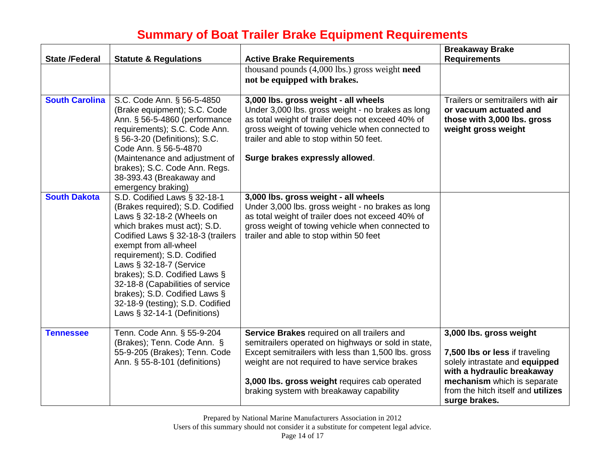| <b>State /Federal</b> | <b>Statute &amp; Regulations</b>                                                                                                                                                                                                                                                                                                                                                                                                      | <b>Active Brake Requirements</b>                                                                                                                                                                                                                                                                         | <b>Breakaway Brake</b><br><b>Requirements</b>                                                                                                                                                                          |
|-----------------------|---------------------------------------------------------------------------------------------------------------------------------------------------------------------------------------------------------------------------------------------------------------------------------------------------------------------------------------------------------------------------------------------------------------------------------------|----------------------------------------------------------------------------------------------------------------------------------------------------------------------------------------------------------------------------------------------------------------------------------------------------------|------------------------------------------------------------------------------------------------------------------------------------------------------------------------------------------------------------------------|
|                       |                                                                                                                                                                                                                                                                                                                                                                                                                                       | thousand pounds (4,000 lbs.) gross weight need<br>not be equipped with brakes.                                                                                                                                                                                                                           |                                                                                                                                                                                                                        |
| <b>South Carolina</b> | S.C. Code Ann. § 56-5-4850<br>(Brake equipment); S.C. Code<br>Ann. § 56-5-4860 (performance<br>requirements); S.C. Code Ann.<br>§ 56-3-20 (Definitions); S.C.<br>Code Ann. § 56-5-4870<br>(Maintenance and adjustment of<br>brakes); S.C. Code Ann. Regs.<br>38-393.43 (Breakaway and<br>emergency braking)                                                                                                                           | 3,000 lbs. gross weight - all wheels<br>Under 3,000 lbs. gross weight - no brakes as long<br>as total weight of trailer does not exceed 40% of<br>gross weight of towing vehicle when connected to<br>trailer and able to stop within 50 feet.<br>Surge brakes expressly allowed.                        | Trailers or semitrailers with air<br>or vacuum actuated and<br>those with 3,000 lbs. gross<br>weight gross weight                                                                                                      |
| <b>South Dakota</b>   | S.D. Codified Laws § 32-18-1<br>(Brakes required); S.D. Codified<br>Laws $\S$ 32-18-2 (Wheels on<br>which brakes must act); S.D.<br>Codified Laws § 32-18-3 (trailers<br>exempt from all-wheel<br>requirement); S.D. Codified<br>Laws § 32-18-7 (Service<br>brakes); S.D. Codified Laws §<br>32-18-8 (Capabilities of service<br>brakes); S.D. Codified Laws §<br>32-18-9 (testing); S.D. Codified<br>Laws $\S$ 32-14-1 (Definitions) | 3,000 lbs. gross weight - all wheels<br>Under 3,000 lbs. gross weight - no brakes as long<br>as total weight of trailer does not exceed 40% of<br>gross weight of towing vehicle when connected to<br>trailer and able to stop within 50 feet                                                            |                                                                                                                                                                                                                        |
| <b>Tennessee</b>      | Tenn. Code Ann. § 55-9-204<br>(Brakes); Tenn. Code Ann. §<br>55-9-205 (Brakes); Tenn. Code<br>Ann. § 55-8-101 (definitions)                                                                                                                                                                                                                                                                                                           | Service Brakes required on all trailers and<br>semitrailers operated on highways or sold in state,<br>Except semitrailers with less than 1,500 lbs. gross<br>weight are not required to have service brakes<br>3,000 lbs. gross weight requires cab operated<br>braking system with breakaway capability | 3,000 lbs. gross weight<br>7,500 lbs or less if traveling<br>solely intrastate and equipped<br>with a hydraulic breakaway<br>mechanism which is separate<br>from the hitch itself and <b>utilizes</b><br>surge brakes. |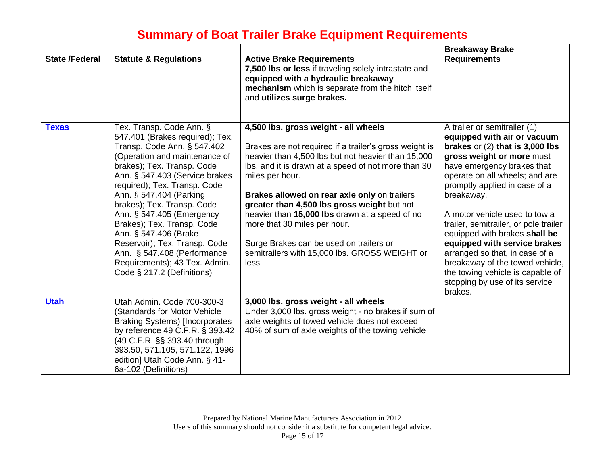|                       |                                                                                                                                                                                                                                                                                                                                                                                                                                                                                                         |                                                                                                                                                                                                                                                                                                                                                                                                                                                                                                                     | <b>Breakaway Brake</b>                                                                                                                                                                                                                                                                                                                                                                                                                                                                                                                        |
|-----------------------|---------------------------------------------------------------------------------------------------------------------------------------------------------------------------------------------------------------------------------------------------------------------------------------------------------------------------------------------------------------------------------------------------------------------------------------------------------------------------------------------------------|---------------------------------------------------------------------------------------------------------------------------------------------------------------------------------------------------------------------------------------------------------------------------------------------------------------------------------------------------------------------------------------------------------------------------------------------------------------------------------------------------------------------|-----------------------------------------------------------------------------------------------------------------------------------------------------------------------------------------------------------------------------------------------------------------------------------------------------------------------------------------------------------------------------------------------------------------------------------------------------------------------------------------------------------------------------------------------|
| <b>State /Federal</b> | <b>Statute &amp; Regulations</b>                                                                                                                                                                                                                                                                                                                                                                                                                                                                        | <b>Active Brake Requirements</b><br>7,500 lbs or less if traveling solely intrastate and<br>equipped with a hydraulic breakaway<br>mechanism which is separate from the hitch itself<br>and utilizes surge brakes.                                                                                                                                                                                                                                                                                                  | <b>Requirements</b>                                                                                                                                                                                                                                                                                                                                                                                                                                                                                                                           |
| <b>Texas</b>          | Tex. Transp. Code Ann. §<br>547.401 (Brakes required); Tex.<br>Transp. Code Ann. § 547.402<br>(Operation and maintenance of<br>brakes); Tex. Transp. Code<br>Ann. § 547.403 (Service brakes<br>required); Tex. Transp. Code<br>Ann. § 547.404 (Parking<br>brakes); Tex. Transp. Code<br>Ann. § 547.405 (Emergency<br>Brakes); Tex. Transp. Code<br>Ann. § 547.406 (Brake<br>Reservoir); Tex. Transp. Code<br>Ann. § 547.408 (Performance<br>Requirements); 43 Tex. Admin.<br>Code § 217.2 (Definitions) | 4,500 lbs. gross weight - all wheels<br>Brakes are not required if a trailer's gross weight is<br>heavier than 4,500 lbs but not heavier than 15,000<br>Ibs, and it is drawn at a speed of not more than 30<br>miles per hour.<br>Brakes allowed on rear axle only on trailers<br>greater than 4,500 lbs gross weight but not<br>heavier than 15,000 lbs drawn at a speed of no<br>more that 30 miles per hour.<br>Surge Brakes can be used on trailers or<br>semitrailers with 15,000 lbs. GROSS WEIGHT or<br>less | A trailer or semitrailer (1)<br>equipped with air or vacuum<br>brakes or $(2)$ that is 3,000 lbs<br>gross weight or more must<br>have emergency brakes that<br>operate on all wheels; and are<br>promptly applied in case of a<br>breakaway.<br>A motor vehicle used to tow a<br>trailer, semitrailer, or pole trailer<br>equipped with brakes shall be<br>equipped with service brakes<br>arranged so that, in case of a<br>breakaway of the towed vehicle,<br>the towing vehicle is capable of<br>stopping by use of its service<br>brakes. |
| <b>Utah</b>           | Utah Admin. Code 700-300-3<br>(Standards for Motor Vehicle<br><b>Braking Systems) [Incorporates</b><br>by reference 49 C.F.R. § 393.42<br>(49 C.F.R. §§ 393.40 through<br>393.50, 571.105, 571.122, 1996<br>edition] Utah Code Ann. § 41-<br>6a-102 (Definitions)                                                                                                                                                                                                                                       | 3,000 lbs. gross weight - all wheels<br>Under 3,000 lbs. gross weight - no brakes if sum of<br>axle weights of towed vehicle does not exceed<br>40% of sum of axle weights of the towing vehicle                                                                                                                                                                                                                                                                                                                    |                                                                                                                                                                                                                                                                                                                                                                                                                                                                                                                                               |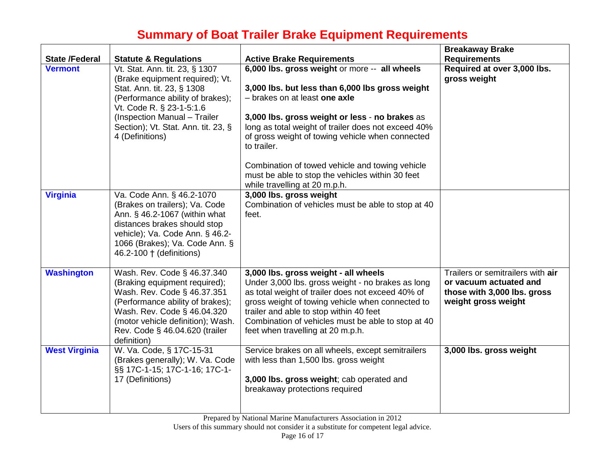| <b>State /Federal</b> | <b>Statute &amp; Regulations</b>                                                                                                                                                                                                                          | <b>Active Brake Requirements</b>                                                                                                                                                                                                                                                                                                                                                                                                                      | <b>Breakaway Brake</b><br><b>Requirements</b>                                                                     |
|-----------------------|-----------------------------------------------------------------------------------------------------------------------------------------------------------------------------------------------------------------------------------------------------------|-------------------------------------------------------------------------------------------------------------------------------------------------------------------------------------------------------------------------------------------------------------------------------------------------------------------------------------------------------------------------------------------------------------------------------------------------------|-------------------------------------------------------------------------------------------------------------------|
| <b>Vermont</b>        | Vt. Stat. Ann. tit. 23, § 1307<br>(Brake equipment required); Vt.<br>Stat. Ann. tit. 23, § 1308<br>(Performance ability of brakes);<br>Vt. Code R. § 23-1-5:1.6<br>(Inspection Manual - Trailer<br>Section); Vt. Stat. Ann. tit. 23, §<br>4 (Definitions) | 6,000 lbs. gross weight or more -- all wheels<br>3,000 lbs. but less than 6,000 lbs gross weight<br>- brakes on at least one axle<br>3,000 lbs. gross weight or less - no brakes as<br>long as total weight of trailer does not exceed 40%<br>of gross weight of towing vehicle when connected<br>to trailer.<br>Combination of towed vehicle and towing vehicle<br>must be able to stop the vehicles within 30 feet<br>while travelling at 20 m.p.h. | Required at over 3,000 lbs.<br>gross weight                                                                       |
| <b>Virginia</b>       | Va. Code Ann. § 46.2-1070<br>(Brakes on trailers); Va. Code<br>Ann. § 46.2-1067 (within what<br>distances brakes should stop<br>vehicle); Va. Code Ann. § 46.2-<br>1066 (Brakes); Va. Code Ann. §<br>46.2-100 † (definitions)                             | 3,000 lbs. gross weight<br>Combination of vehicles must be able to stop at 40<br>feet.                                                                                                                                                                                                                                                                                                                                                                |                                                                                                                   |
| <b>Washington</b>     | Wash. Rev. Code § 46.37.340<br>(Braking equipment required);<br>Wash. Rev. Code § 46.37.351<br>(Performance ability of brakes);<br>Wash. Rev. Code § 46.04.320<br>(motor vehicle definition); Wash.<br>Rev. Code § 46.04.620 (trailer<br>definition)      | 3,000 lbs. gross weight - all wheels<br>Under 3,000 lbs. gross weight - no brakes as long<br>as total weight of trailer does not exceed 40% of<br>gross weight of towing vehicle when connected to<br>trailer and able to stop within 40 feet<br>Combination of vehicles must be able to stop at 40<br>feet when travelling at 20 m.p.h.                                                                                                              | Trailers or semitrailers with air<br>or vacuum actuated and<br>those with 3,000 lbs. gross<br>weight gross weight |
| <b>West Virginia</b>  | W. Va. Code, § 17C-15-31<br>(Brakes generally); W. Va. Code<br>§§ 17C-1-15; 17C-1-16; 17C-1-<br>17 (Definitions)                                                                                                                                          | Service brakes on all wheels, except semitrailers<br>with less than 1,500 lbs. gross weight<br>3,000 lbs. gross weight; cab operated and<br>breakaway protections required                                                                                                                                                                                                                                                                            | 3,000 lbs. gross weight                                                                                           |

Prepared by National Marine Manufacturers Association in 2012